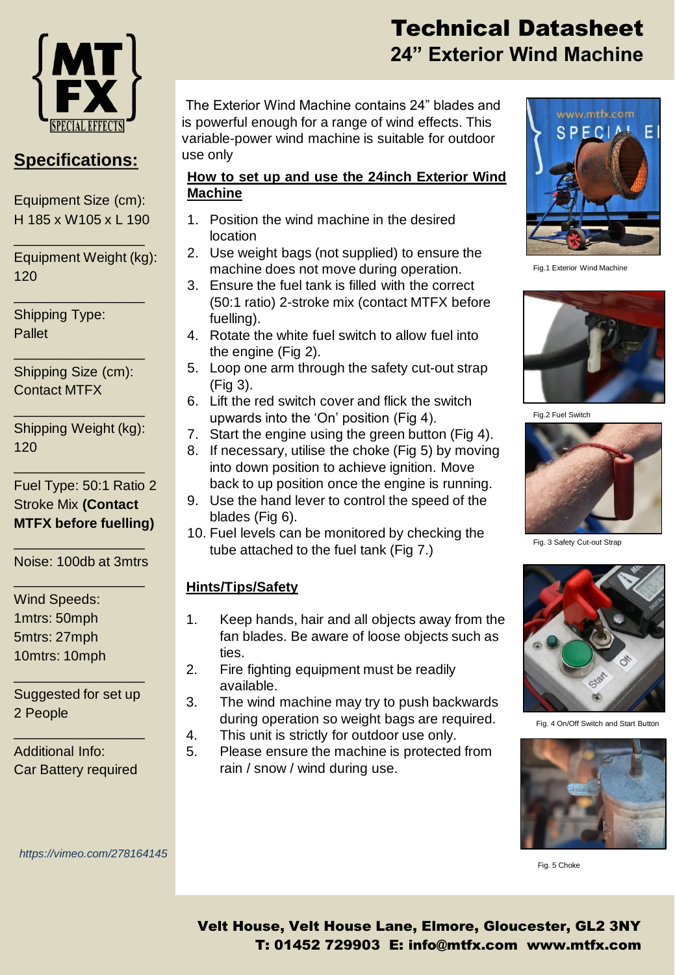

## **Specifications:**

Equipment Size (cm): H 185 x W105 x L 190

\_\_\_\_\_\_\_\_\_\_\_\_\_\_\_\_\_

\_\_\_\_\_\_\_\_\_\_\_\_\_\_\_\_\_

Equipment Weight (kg): 120

Shipping Type: Pallet

Shipping Size (cm): Contact MTFX

\_\_\_\_\_\_\_\_\_\_\_\_\_\_\_\_\_

Shipping Weight (kg): 120

\_\_\_\_\_\_\_\_\_\_\_\_\_\_\_\_\_

\_\_\_\_\_\_\_\_\_\_\_\_\_\_\_\_\_

Fuel Type: 50:1 Ratio 2 Stroke Mix **(Contact MTFX before fuelling)**

\_\_\_\_\_\_\_\_\_\_\_\_\_\_\_\_\_ Noise: 100db at 3mtrs \_\_\_\_\_\_\_\_\_\_\_\_\_\_\_\_\_

Wind Speeds: 1mtrs: 50mph 5mtrs: 27mph

10mtrs: 10mph \_\_\_\_\_\_\_\_\_\_\_\_\_\_\_\_\_

Suggested for set up 2 People

\_\_\_\_\_\_\_\_\_\_\_\_\_\_\_\_\_

Additional Info: Car Battery required

*https://vimeo.com/278164145*

# Technical Datasheet **24" Exterior Wind Machine**

The Exterior Wind Machine contains 24" blades and is powerful enough for a range of wind effects. This variable-power wind machine is suitable for outdoor use only

#### **How to set up and use the 24inch Exterior Wind Machine**

- 1. Position the wind machine in the desired location
- 2. Use weight bags (not supplied) to ensure the machine does not move during operation.
- 3. Ensure the fuel tank is filled with the correct (50:1 ratio) 2-stroke mix (contact MTFX before fuelling).
- 4. Rotate the white fuel switch to allow fuel into the engine (Fig 2).
- 5. Loop one arm through the safety cut-out strap (Fig 3).
- 6. Lift the red switch cover and flick the switch upwards into the 'On' position (Fig 4).
- 7. Start the engine using the green button (Fig 4).
- 8. If necessary, utilise the choke (Fig 5) by moving into down position to achieve ignition. Move back to up position once the engine is running.
- 9. Use the hand lever to control the speed of the blades (Fig 6).
- 10. Fuel levels can be monitored by checking the tube attached to the fuel tank (Fig 7.)

### **Hints/Tips/Safety**

- 1. Keep hands, hair and all objects away from the fan blades. Be aware of loose objects such as ties.
- 2. Fire fighting equipment must be readily available.
- 3. The wind machine may try to push backwards during operation so weight bags are required.
- 4. This unit is strictly for outdoor use only.
- 5. Please ensure the machine is protected from rain / snow / wind during use.



Fig.1 Exterior Wind Machine



Fig.2 Fuel Switch



Fig. 3 Safety Cut-out Strap



Fig. 4 On/Off Switch and Start Button



Fig. 5 Choke